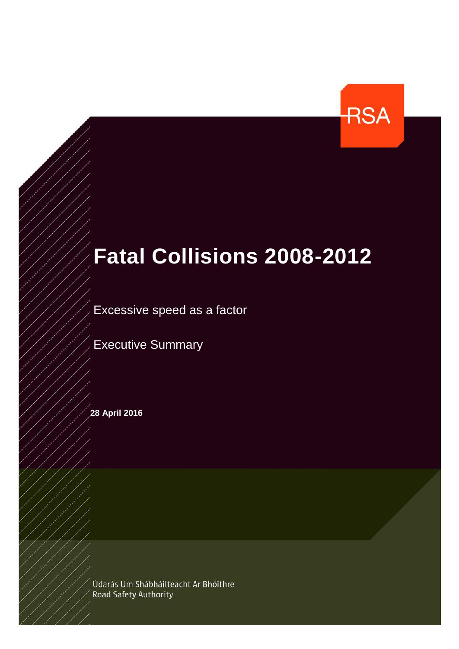# **RSA**

## **Fatal Collisions 2008-2012**

Excessive speed as a factor

Executive Summary

**28 April 2016**

Údarás Um Shábháilteacht Ar Bhóithre Road Safety Authority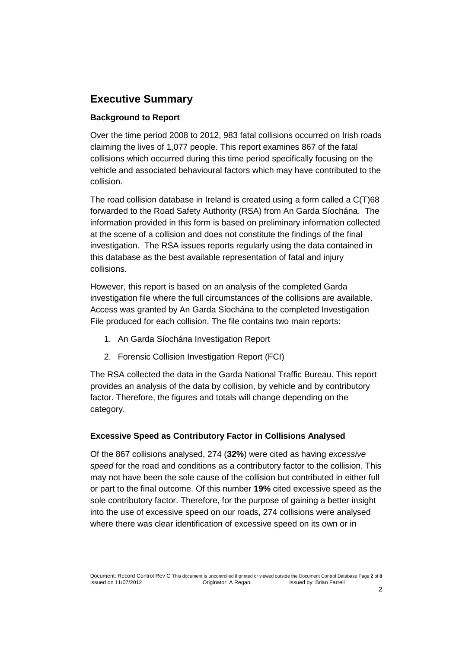### **Executive Summary**

### **Background to Report**

Over the time period 2008 to 2012, 983 fatal collisions occurred on Irish roads claiming the lives of 1,077 people. This report examines 867 of the fatal collisions which occurred during this time period specifically focusing on the vehicle and associated behavioural factors which may have contributed to the collision.

The road collision database in Ireland is created using a form called a C(T)68 forwarded to the Road Safety Authority (RSA) from An Garda Síochána. The information provided in this form is based on preliminary information collected at the scene of a collision and does not constitute the findings of the final investigation. The RSA issues reports regularly using the data contained in this database as the best available representation of fatal and injury collisions.

However, this report is based on an analysis of the completed Garda investigation file where the full circumstances of the collisions are available. Access was granted by An Garda Síochána to the completed Investigation File produced for each collision. The file contains two main reports:

- 1. An Garda Síochána Investigation Report
- 2. Forensic Collision Investigation Report (FCI)

The RSA collected the data in the Garda National Traffic Bureau. This report provides an analysis of the data by collision, by vehicle and by contributory factor. Therefore, the figures and totals will change depending on the category.

### **Excessive Speed as Contributory Factor in Collisions Analysed**

Of the 867 collisions analysed, 274 (**32%**) were cited as having *excessive speed* for the road and conditions as a contributory factor to the collision. This may not have been the sole cause of the collision but contributed in either full or part to the final outcome. Of this number **19%** cited excessive speed as the sole contributory factor. Therefore, for the purpose of gaining a better insight into the use of excessive speed on our roads, 274 collisions were analysed where there was clear identification of excessive speed on its own or in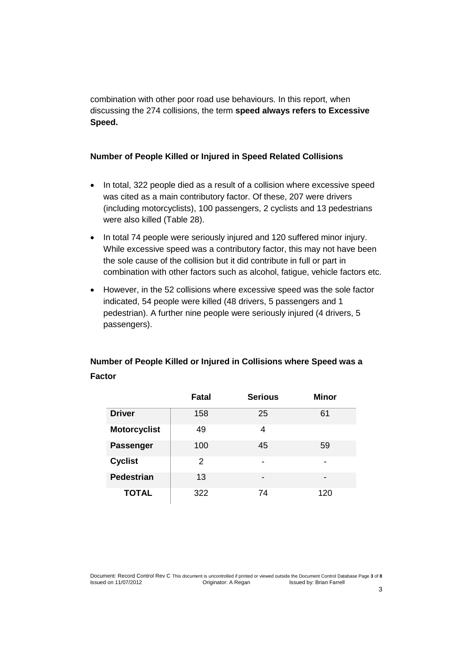combination with other poor road use behaviours. In this report, when discussing the 274 collisions, the term **speed always refers to Excessive Speed.**

### **Number of People Killed or Injured in Speed Related Collisions**

- In total, 322 people died as a result of a collision where excessive speed was cited as a main contributory factor. Of these, 207 were drivers (including motorcyclists), 100 passengers, 2 cyclists and 13 pedestrians were also killed (Table 28).
- In total 74 people were seriously injured and 120 suffered minor injury. While excessive speed was a contributory factor, this may not have been the sole cause of the collision but it did contribute in full or part in combination with other factors such as alcohol, fatigue, vehicle factors etc.
- However, in the 52 collisions where excessive speed was the sole factor indicated, 54 people were killed (48 drivers, 5 passengers and 1 pedestrian). A further nine people were seriously injured (4 drivers, 5 passengers).

### **Number of People Killed or Injured in Collisions where Speed was a Factor**

|                     | <b>Fatal</b> | <b>Serious</b>               | <b>Minor</b>             |  |
|---------------------|--------------|------------------------------|--------------------------|--|
| <b>Driver</b>       | 158          | 25                           | 61                       |  |
| <b>Motorcyclist</b> | 49           | 4                            |                          |  |
| <b>Passenger</b>    | 100          | 45                           | 59                       |  |
| <b>Cyclist</b>      | 2            | -                            | $\overline{\phantom{0}}$ |  |
| <b>Pedestrian</b>   | 13           | $\qquad \qquad \blacksquare$ | -                        |  |
| <b>TOTAL</b>        | 322          | 74                           | 120                      |  |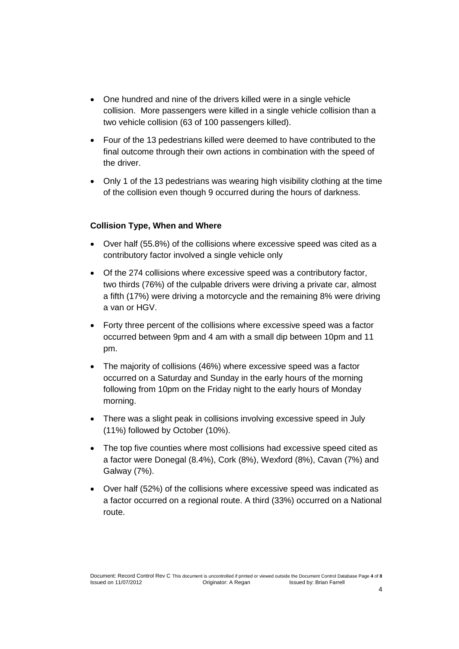- One hundred and nine of the drivers killed were in a single vehicle collision. More passengers were killed in a single vehicle collision than a two vehicle collision (63 of 100 passengers killed).
- Four of the 13 pedestrians killed were deemed to have contributed to the final outcome through their own actions in combination with the speed of the driver.
- Only 1 of the 13 pedestrians was wearing high visibility clothing at the time of the collision even though 9 occurred during the hours of darkness.

### **Collision Type, When and Where**

- Over half (55.8%) of the collisions where excessive speed was cited as a contributory factor involved a single vehicle only
- Of the 274 collisions where excessive speed was a contributory factor, two thirds (76%) of the culpable drivers were driving a private car, almost a fifth (17%) were driving a motorcycle and the remaining 8% were driving a van or HGV.
- Forty three percent of the collisions where excessive speed was a factor occurred between 9pm and 4 am with a small dip between 10pm and 11 pm.
- The majority of collisions (46%) where excessive speed was a factor occurred on a Saturday and Sunday in the early hours of the morning following from 10pm on the Friday night to the early hours of Monday morning.
- There was a slight peak in collisions involving excessive speed in July (11%) followed by October (10%).
- The top five counties where most collisions had excessive speed cited as a factor were Donegal (8.4%), Cork (8%), Wexford (8%), Cavan (7%) and Galway (7%).
- Over half (52%) of the collisions where excessive speed was indicated as a factor occurred on a regional route. A third (33%) occurred on a National route.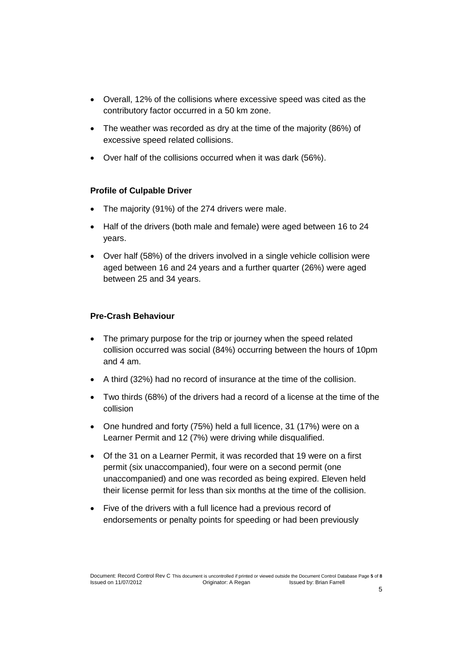- Overall, 12% of the collisions where excessive speed was cited as the contributory factor occurred in a 50 km zone.
- The weather was recorded as dry at the time of the majority (86%) of excessive speed related collisions.
- Over half of the collisions occurred when it was dark (56%).

### **Profile of Culpable Driver**

- The majority (91%) of the 274 drivers were male.
- Half of the drivers (both male and female) were aged between 16 to 24 years.
- Over half (58%) of the drivers involved in a single vehicle collision were aged between 16 and 24 years and a further quarter (26%) were aged between 25 and 34 years.

### **Pre-Crash Behaviour**

- The primary purpose for the trip or journey when the speed related collision occurred was social (84%) occurring between the hours of 10pm and 4 am.
- A third (32%) had no record of insurance at the time of the collision.
- Two thirds (68%) of the drivers had a record of a license at the time of the collision
- One hundred and forty (75%) held a full licence, 31 (17%) were on a Learner Permit and 12 (7%) were driving while disqualified.
- Of the 31 on a Learner Permit, it was recorded that 19 were on a first permit (six unaccompanied), four were on a second permit (one unaccompanied) and one was recorded as being expired. Eleven held their license permit for less than six months at the time of the collision.
- Five of the drivers with a full licence had a previous record of endorsements or penalty points for speeding or had been previously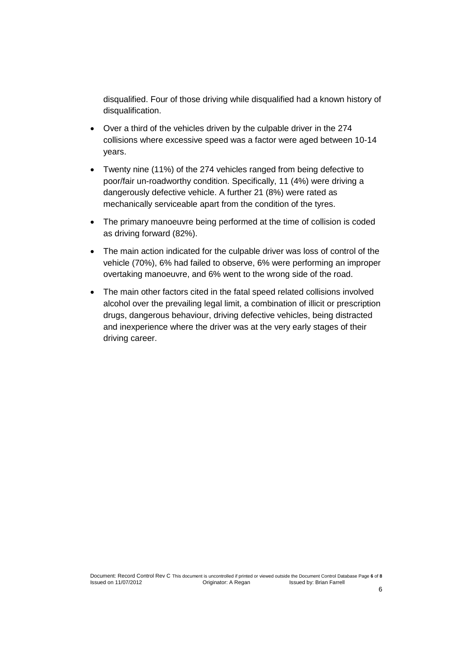disqualified. Four of those driving while disqualified had a known history of disqualification.

- Over a third of the vehicles driven by the culpable driver in the 274 collisions where excessive speed was a factor were aged between 10-14 years.
- Twenty nine (11%) of the 274 vehicles ranged from being defective to poor/fair un-roadworthy condition. Specifically, 11 (4%) were driving a dangerously defective vehicle. A further 21 (8%) were rated as mechanically serviceable apart from the condition of the tyres.
- The primary manoeuvre being performed at the time of collision is coded as driving forward (82%).
- The main action indicated for the culpable driver was loss of control of the vehicle (70%), 6% had failed to observe, 6% were performing an improper overtaking manoeuvre, and 6% went to the wrong side of the road.
- The main other factors cited in the fatal speed related collisions involved alcohol over the prevailing legal limit, a combination of illicit or prescription drugs, dangerous behaviour, driving defective vehicles, being distracted and inexperience where the driver was at the very early stages of their driving career.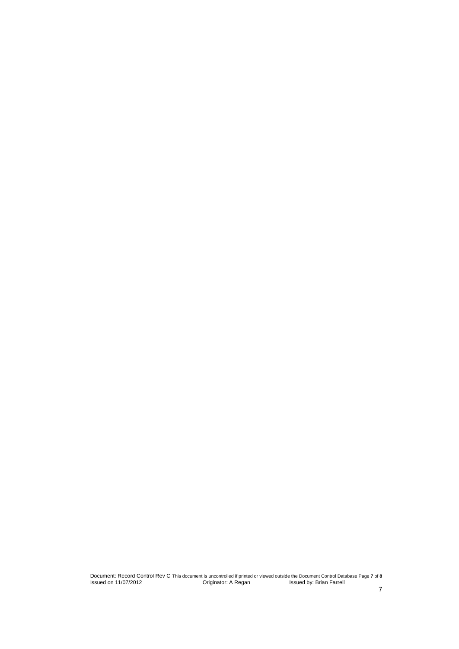Document: Record Control Rev C This document is uncontrolled if printed or viewed outside the Document Control Database Page **7** of **8** Issued on 11/07/2012 **ISSUED COVERTY COVERTY COVERTY COVERTY** ISSUED by: Brian Farrell